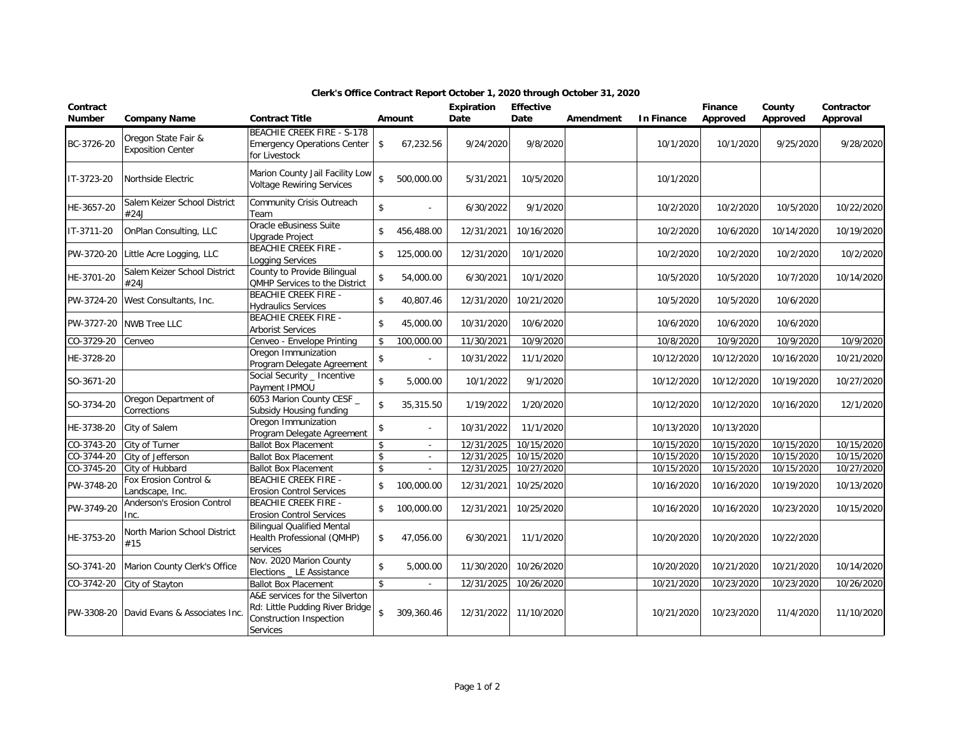| Contract<br><b>Number</b> | <b>Company Name</b>                             | <b>Contract Title</b>                                                                                    | Amount             |                          | Expiration<br>Date | <b>Effective</b><br>Date | Amendment | <b>In Finance</b> | Finance<br>Approved | County<br>Approved | Contractor<br>Approval |
|---------------------------|-------------------------------------------------|----------------------------------------------------------------------------------------------------------|--------------------|--------------------------|--------------------|--------------------------|-----------|-------------------|---------------------|--------------------|------------------------|
| BC-3726-20                | Oregon State Fair &<br><b>Exposition Center</b> | <b>BEACHIE CREEK FIRE - S-178</b><br><b>Emergency Operations Center</b><br>for Livestock                 | \$                 | 67,232.56                | 9/24/2020          | 9/8/2020                 |           | 10/1/2020         | 10/1/2020           | 9/25/2020          | 9/28/2020              |
| IT-3723-20                | Northside Electric                              | Marion County Jail Facility Low<br><b>Voltage Rewiring Services</b>                                      | $\mathbf{\hat{S}}$ | 500,000.00               | 5/31/2021          | 10/5/2020                |           | 10/1/2020         |                     |                    |                        |
| HE-3657-20                | Salem Keizer School District<br>#24J            | Community Crisis Outreach<br>Team                                                                        | $\mathbf{\hat{S}}$ |                          | 6/30/2022          | 9/1/2020                 |           | 10/2/2020         | 10/2/2020           | 10/5/2020          | 10/22/2020             |
| IT-3711-20                | OnPlan Consulting, LLC                          | Oracle eBusiness Suite<br><b>Upgrade Project</b>                                                         | \$                 | 456,488.00               | 12/31/2021         | 10/16/2020               |           | 10/2/2020         | 10/6/2020           | 10/14/2020         | 10/19/2020             |
| PW-3720-20                | Little Acre Logging, LLC                        | <b>BEACHIE CREEK FIRE -</b><br>Logging Services                                                          | \$                 | 125,000.00               | 12/31/2020         | 10/1/2020                |           | 10/2/2020         | 10/2/2020           | 10/2/2020          | 10/2/2020              |
| HE-3701-20                | Salem Keizer School District<br>#24J            | County to Provide Bilingual<br>QMHP Services to the District                                             | $\mathsf{\$}$      | 54,000.00                | 6/30/2021          | 10/1/2020                |           | 10/5/2020         | 10/5/2020           | 10/7/2020          | 10/14/2020             |
| PW-3724-20                | West Consultants, Inc.                          | <b>BEACHIE CREEK FIRE -</b><br><b>Hydraulics Services</b>                                                | $\mathsf{\$}$      | 40,807.46                | 12/31/2020         | 10/21/2020               |           | 10/5/2020         | 10/5/2020           | 10/6/2020          |                        |
| PW-3727-20                | <b>NWB Tree LLC</b>                             | <b>BEACHIE CREEK FIRE -</b><br><b>Arborist Services</b>                                                  | \$                 | 45,000.00                | 10/31/2020         | 10/6/2020                |           | 10/6/2020         | 10/6/2020           | 10/6/2020          |                        |
| CO-3729-20                | Cenveo                                          | Cenveo - Envelope Printing                                                                               | \$                 | 100,000.00               | 11/30/2021         | 10/9/2020                |           | 10/8/2020         | 10/9/2020           | 10/9/2020          | 10/9/2020              |
| HE-3728-20                |                                                 | Oregon Immunization<br>Program Delegate Agreement                                                        | $\sqrt{2}$         |                          | 10/31/2022         | 11/1/2020                |           | 10/12/2020        | 10/12/2020          | 10/16/2020         | 10/21/2020             |
| SO-3671-20                |                                                 | Social Security _ Incentive<br>Payment IPMOU                                                             | $\mathbf{\hat{S}}$ | 5,000.00                 | 10/1/2022          | 9/1/2020                 |           | 10/12/2020        | 10/12/2020          | 10/19/2020         | 10/27/2020             |
| SO-3734-20                | Oregon Department of<br>Corrections             | 6053 Marion County CESF<br>Subsidy Housing funding                                                       | $\mathbf{\hat{z}}$ | 35,315.50                | 1/19/2022          | 1/20/2020                |           | 10/12/2020        | 10/12/2020          | 10/16/2020         | 12/1/2020              |
| HE-3738-20                | City of Salem                                   | Oregon Immunization<br>Program Delegate Agreement                                                        | $\sqrt{2}$         | $\overline{\phantom{a}}$ | 10/31/2022         | 11/1/2020                |           | 10/13/2020        | 10/13/2020          |                    |                        |
| CO-3743-20                | City of Turner                                  | <b>Ballot Box Placement</b>                                                                              | \$                 | $\sim$                   | 12/31/2025         | 10/15/2020               |           | 10/15/2020        | 10/15/2020          | 10/15/2020         | 10/15/2020             |
| CO-3744-20                | City of Jefferson                               | <b>Ballot Box Placement</b>                                                                              | $\mathbf{\hat{S}}$ | $\sim$                   | 12/31/2025         | 10/15/2020               |           | 10/15/2020        | 10/15/2020          | 10/15/2020         | 10/15/2020             |
| CO-3745-20                | City of Hubbard                                 | <b>Ballot Box Placement</b>                                                                              | $\mathbf{\hat{S}}$ | ÷.                       | 12/31/2025         | 10/27/2020               |           | 10/15/2020        | 10/15/2020          | 10/15/2020         | 10/27/2020             |
| PW-3748-20                | Fox Erosion Control &<br>Landscape, Inc.        | <b>BEACHIE CREEK FIRE -</b><br><b>Erosion Control Services</b>                                           | \$                 | 100,000.00               | 12/31/2021         | 10/25/2020               |           | 10/16/2020        | 10/16/2020          | 10/19/2020         | 10/13/2020             |
| PW-3749-20                | Anderson's Erosion Control<br>Inc.              | <b>BEACHIE CREEK FIRE -</b><br><b>Erosion Control Services</b>                                           | \$                 | 100,000.00               | 12/31/2021         | 10/25/2020               |           | 10/16/2020        | 10/16/2020          | 10/23/2020         | 10/15/2020             |
| HE-3753-20                | North Marion School District<br>#15             | <b>Bilingual Qualified Mental</b><br>Health Professional (QMHP)<br>services                              | \$                 | 47,056.00                | 6/30/2021          | 11/1/2020                |           | 10/20/2020        | 10/20/2020          | 10/22/2020         |                        |
| SO-3741-20                | Marion County Clerk's Office                    | Nov. 2020 Marion County<br>Elections _ LE Assistance                                                     | \$                 | 5,000.00                 | 11/30/2020         | 10/26/2020               |           | 10/20/2020        | 10/21/2020          | 10/21/2020         | 10/14/2020             |
| CO-3742-20                | City of Stayton                                 | <b>Ballot Box Placement</b>                                                                              | $\mathsf{\$}$      | ÷.                       | 12/31/2025         | 10/26/2020               |           | 10/21/2020        | 10/23/2020          | 10/23/2020         | 10/26/2020             |
| PW-3308-20                | David Evans & Associates Inc.                   | A&E services for the Silverton<br>Rd: Little Pudding River Bridge<br>Construction Inspection<br>Services | $\mathbf{\hat{z}}$ | 309,360.46               | 12/31/2022         | 11/10/2020               |           | 10/21/2020        | 10/23/2020          | 11/4/2020          | 11/10/2020             |

## **Clerk's Office Contract Report October 1, 2020 through October 31, 2020**